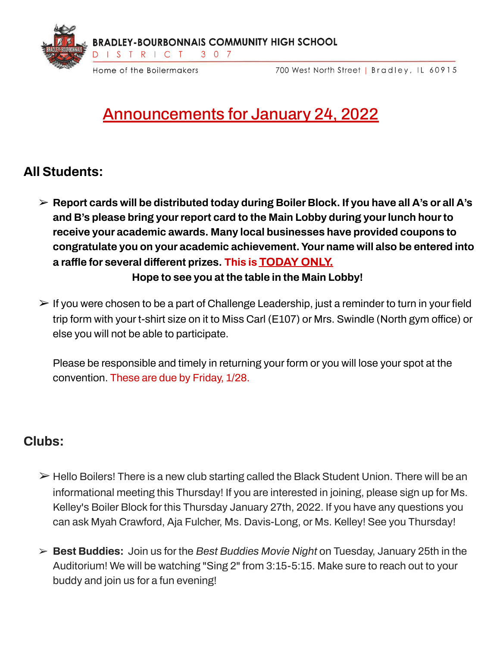

700 West North Street | Bradley, IL 60915

# Announcements for January 24, 2022

## **All Students:**

- ➢ **Report cards will be distributed today during Boiler Block. If you have all A's or all A's and B's please bring yourreport card to the Main Lobby during yourlunch hourto receive your academic awards. Many local businesses have provided coupons to congratulate you on your academic achievement.Your name will also be entered into a raffle for several different prizes. This is TODAY ONLY. Hope to see you at the table in the Main Lobby!**
- $\triangleright$  If you were chosen to be a part of Challenge Leadership, just a reminder to turn in your field trip form with your t-shirt size on it to Miss Carl (E107) or Mrs. Swindle (North gym office) or else you will not be able to participate.

Please be responsible and timely in returning your form or you will lose your spot at the convention. These are due by Friday, 1/28.

## **Clubs:**

- $\triangleright$  Hello Boilers! There is a new club starting called the Black Student Union. There will be an informational meeting this Thursday! If you are interested in joining, please sign up for Ms. Kelley's Boiler Block for this Thursday January 27th, 2022. If you have any questions you can ask Myah Crawford, Aja Fulcher, Ms. Davis-Long, or Ms. Kelley! See you Thursday!
- ➢ **Best Buddies:** Join us for the *Best Buddies Movie Night* on Tuesday, January 25th in the Auditorium! We will be watching "Sing 2" from 3:15-5:15. Make sure to reach out to your buddy and join us for a fun evening!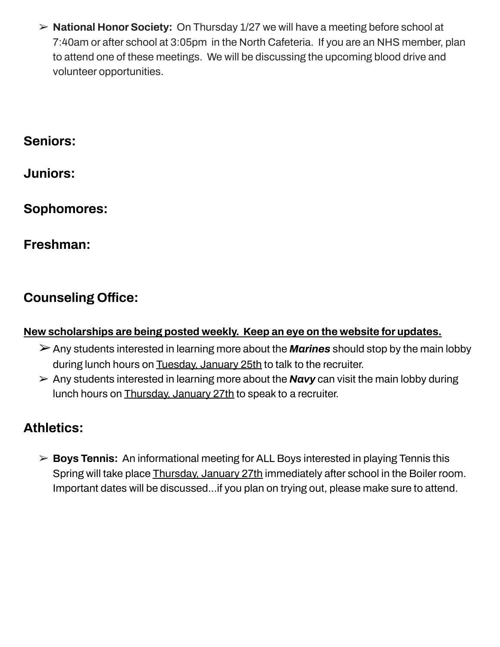➢ **National Honor Society:** On Thursday 1/27 we will have a meeting before school at 7:40am or after school at 3:05pm in the North Cafeteria. If you are an NHS member, plan to attend one of these meetings. We will be discussing the upcoming blood drive and volunteer opportunities.

## **Seniors:**

**Juniors:**

**Sophomores:**

**Freshman:**

## **Counseling Office:**

### **New scholarships are being posted weekly. Keep an eye on the website for updates.**

- ➢Any students interested in learning more about the *Marines* should stop by the main lobby during lunch hours on Tuesday, January 25th to talk to the recruiter.
- $\triangleright$  Any students interested in learning more about the **Navy** can visit the main lobby during lunch hours on Thursday, January 27th to speak to a recruiter.

## **Athletics:**

➢ **Boys Tennis:** An informational meeting for ALL Boys interested in playing Tennis this Spring will take place Thursday, January 27th immediately after school in the Boiler room. Important dates will be discussed...if you plan on trying out, please make sure to attend.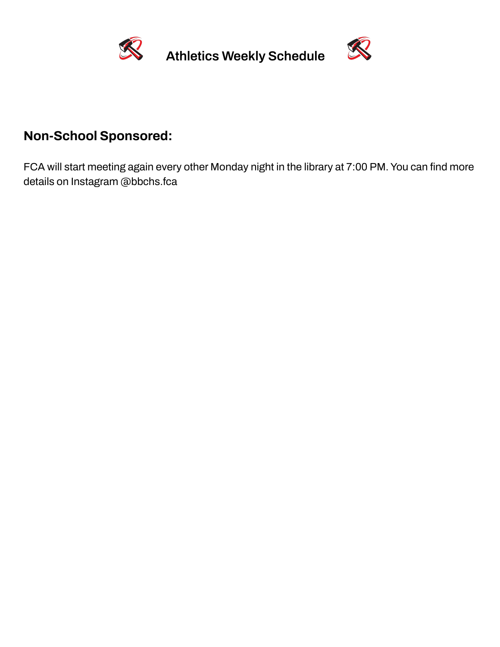

**Athletics Weekly Schedule**



## **Non-School Sponsored:**

FCA will start meeting again every other Monday night in the library at 7:00 PM. You can find more details on Instagram @bbchs.fca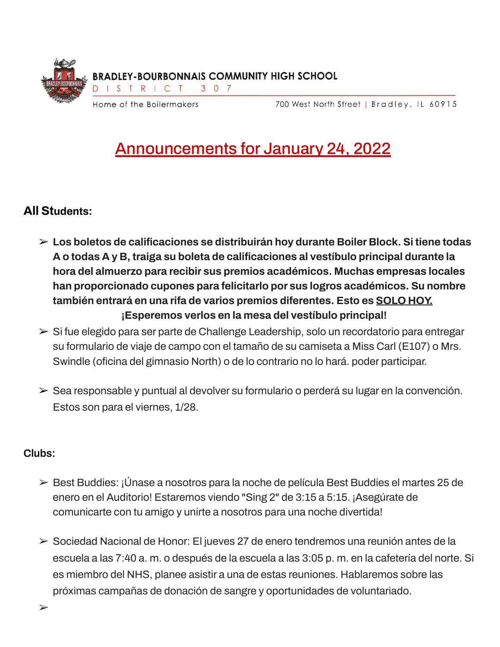

Announcements for January 24, 2022

#### **All Students:**

- ➢ **Los boletos de calificaciones se distribuirán hoy durante Boiler Block. Si tiene todas A o todas A y B, traiga su boleta de calificaciones al vestíbulo principal durante la hora del almuerzo para recibir sus premios académicos. Muchas empresas locales han proporcionado cupones para felicitarlo por sus logros académicos. Su nombre también entrará en una rifa de varios premios diferentes. Esto es SOLO HOY. ¡Esperemos verlos en la mesa del vestíbulo principal!**
- ➢ Si fue elegido para ser parte de Challenge Leadership, solo un recordatorio para entregar su formulario de viaje de campo con el tamaño de su camiseta a Miss Carl (E107) o Mrs. Swindle (oficina del gimnasio North) o de lo contrario no lo hará. poder participar.
- ➢ Sea responsable y puntual al devolver su formulario o perderá su lugar en la convención. Estos son para el viernes, 1/28.

#### **Clubs:**

- ➢ Best Buddies: ¡Únase a nosotros para la noche de película Best Buddies el martes 25 de enero en el Auditorio! Estaremos viendo "Sing 2" de 3:15 a 5:15. ¡Asegúrate de comunicarte con tu amigo y unirte a nosotros para una noche divertida!
- ➢ Sociedad Nacional de Honor: El jueves 27 de enero tendremos una reunión antes de la escuela a las 7:40 a. m. o después de la escuela a las 3:05 p. m. en la cafetería del norte. Si es miembro del NHS, planee asistir a una de estas reuniones. Hablaremos sobre las próximas campañas de donación de sangre y oportunidades de voluntariado.